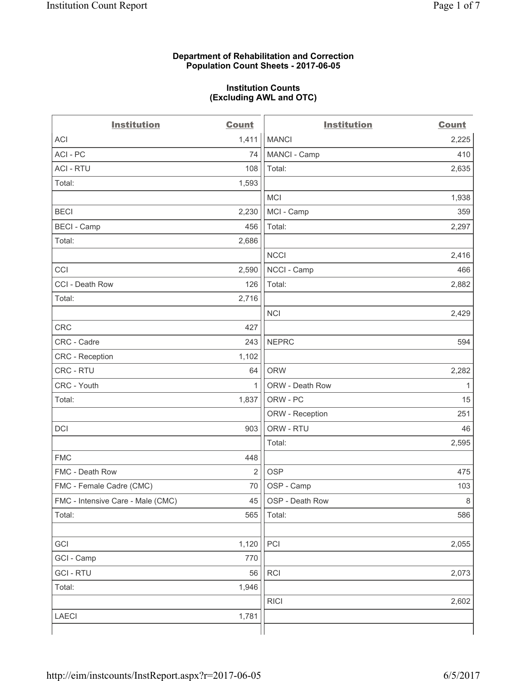#### **Department of Rehabilitation and Correction Population Count Sheets - 2017-06-05**

#### **Institution Counts (Excluding AWL and OTC)**

 $-$ 

| <b>Institution</b>                | <b>Count</b>   | <b>Institution</b> | <b>Count</b> |
|-----------------------------------|----------------|--------------------|--------------|
| <b>ACI</b>                        | 1,411          | <b>MANCI</b>       | 2,225        |
| ACI-PC                            | 74             | MANCI - Camp       | 410          |
| <b>ACI - RTU</b>                  | 108            | Total:             | 2,635        |
| Total:                            | 1,593          |                    |              |
|                                   |                | <b>MCI</b>         | 1,938        |
| <b>BECI</b>                       | 2,230          | MCI - Camp         | 359          |
| <b>BECI</b> - Camp                | 456            | Total:             | 2,297        |
| Total:                            | 2,686          |                    |              |
|                                   |                | <b>NCCI</b>        | 2,416        |
| CCI                               | 2,590          | NCCI - Camp        | 466          |
| CCI - Death Row                   | 126            | Total:             | 2,882        |
| Total:                            | 2,716          |                    |              |
|                                   |                | <b>NCI</b>         | 2,429        |
| <b>CRC</b>                        | 427            |                    |              |
| CRC - Cadre                       | 243            | <b>NEPRC</b>       | 594          |
| CRC - Reception                   | 1,102          |                    |              |
| CRC - RTU                         | 64             | <b>ORW</b>         | 2,282        |
| CRC - Youth                       | 1              | ORW - Death Row    | 1            |
| Total:                            | 1,837          | ORW - PC           | 15           |
|                                   |                | ORW - Reception    | 251          |
| DCI                               | 903            | ORW - RTU          | 46           |
|                                   |                | Total:             | 2,595        |
| <b>FMC</b>                        | 448            |                    |              |
| FMC - Death Row                   | $\overline{2}$ | <b>OSP</b>         | 475          |
| FMC - Female Cadre (CMC)          | 70             | OSP - Camp         | 103          |
| FMC - Intensive Care - Male (CMC) | 45             | OSP - Death Row    | 8            |
| Total:                            | 565            | Total:             | 586          |
|                                   |                |                    |              |
| GCI                               | 1,120          | PCI                | 2,055        |
| GCI - Camp                        | 770            |                    |              |
| <b>GCI - RTU</b>                  | 56             | RCI                | 2,073        |
| Total:                            | 1,946          |                    |              |
|                                   |                | <b>RICI</b>        | 2,602        |
| LAECI                             | 1,781          |                    |              |
|                                   |                |                    |              |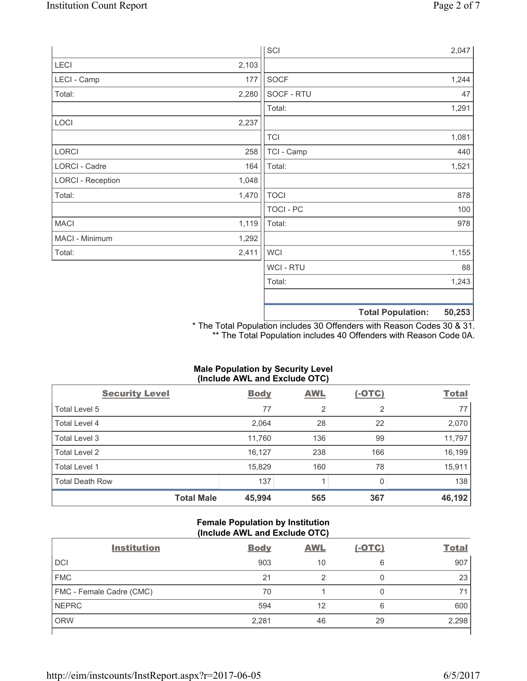|                          |       | SCI            | 2,047                              |    |
|--------------------------|-------|----------------|------------------------------------|----|
| LECI                     | 2,103 |                |                                    |    |
| LECI - Camp              | 177   | <b>SOCF</b>    | 1,244                              |    |
| Total:                   | 2,280 | SOCF - RTU     |                                    | 47 |
|                          |       | Total:         | 1,291                              |    |
| LOCI                     | 2,237 |                |                                    |    |
|                          |       | <b>TCI</b>     | 1,081                              |    |
| LORCI                    | 258   | TCI - Camp     | 440                                |    |
| LORCI - Cadre            | 164   | Total:         | 1,521                              |    |
| <b>LORCI - Reception</b> | 1,048 |                |                                    |    |
| Total:                   | 1,470 | <b>TOCI</b>    | 878                                |    |
|                          |       | TOCI - PC      | 100                                |    |
| <b>MACI</b>              | 1,119 | Total:         | 978                                |    |
| MACI - Minimum           | 1,292 |                |                                    |    |
| Total:                   | 2,411 | <b>WCI</b>     | 1,155                              |    |
|                          |       | <b>WCI-RTU</b> |                                    | 88 |
|                          |       | Total:         | 1,243                              |    |
|                          |       |                | 50,253<br><b>Total Population:</b> |    |

\* The Total Population includes 30 Offenders with Reason Codes 30 & 31. \*\* The Total Population includes 40 Offenders with Reason Code 0A.

# **Male Population by Security Level (Include AWL and Exclude OTC)**

| <b>Security Level</b>  |                   | <b>Body</b> | <b>AWL</b>     | $(-OTC)$ | <b>Total</b> |
|------------------------|-------------------|-------------|----------------|----------|--------------|
| Total Level 5          |                   | 77          | $\overline{2}$ | 2        | 77           |
| <b>Total Level 4</b>   |                   | 2,064       | 28             | 22       | 2,070        |
| Total Level 3          |                   | 11,760      | 136            | 99       | 11,797       |
| Total Level 2          |                   | 16,127      | 238            | 166      | 16,199       |
| Total Level 1          |                   | 15,829      | 160            | 78       | 15,911       |
| <b>Total Death Row</b> |                   | 137         |                | 0        | 138          |
|                        | <b>Total Male</b> | 45,994      | 565            | 367      | 46,192       |

# **Female Population by Institution (Include AWL and Exclude OTC)**

| <b>Institution</b>       | <b>Body</b> | <b>AWL</b> | <u>(-OTC)</u> | <b>Total</b> |
|--------------------------|-------------|------------|---------------|--------------|
| <b>DCI</b>               | 903         | 10         | 6             | 907          |
| <b>FMC</b>               | 21          | 2          | 0             | 23           |
| FMC - Female Cadre (CMC) | 70          |            | 0             | 71           |
| <b>NEPRC</b>             | 594         | 12         | 6             | 600          |
| <b>ORW</b>               | 2,281       | 46         | 29            | 2,298        |
|                          |             |            |               |              |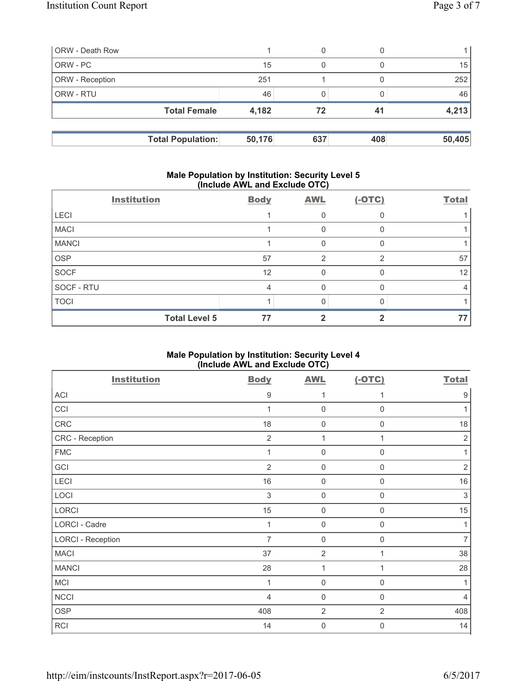| <b>ORW</b> - Death Row |                          |        | 0   |     |        |
|------------------------|--------------------------|--------|-----|-----|--------|
| ORW - PC               |                          | 15     | 0   |     | 15     |
| ORW - Reception        |                          | 251    |     |     | 252    |
| <b>ORW - RTU</b>       |                          | 46     |     |     | 46     |
|                        | <b>Total Female</b>      | 4,182  | 72  | 41  | 4,213  |
|                        |                          |        |     |     |        |
|                        | <b>Total Population:</b> | 50,176 | 637 | 408 | 50,405 |

# **Male Population by Institution: Security Level 5 (Include AWL and Exclude OTC)**

|              | <b>Institution</b>   | <b>Body</b>    | <b>AWL</b>    | $(-OTC)$ | <b>Total</b> |
|--------------|----------------------|----------------|---------------|----------|--------------|
| <b>LECI</b>  |                      |                | 0             |          |              |
| <b>MACI</b>  |                      |                | 0             |          |              |
| <b>MANCI</b> |                      |                | 0             |          |              |
| <b>OSP</b>   |                      | 57             | $\mathcal{P}$ | ⌒        | 57           |
| <b>SOCF</b>  |                      | 12             | $\Omega$      |          | 12           |
| SOCF - RTU   |                      | $\overline{4}$ | 0             |          | 4            |
| <b>TOCI</b>  |                      |                | Ω             |          |              |
|              | <b>Total Level 5</b> | 77             |               |          | 77           |

# **Male Population by Institution: Security Level 4 (Include AWL and Exclude OTC)**

| <b>Institution</b>       | <b>Body</b>    | <b>AWL</b>     | $(-OTC)$       | <b>Total</b>     |
|--------------------------|----------------|----------------|----------------|------------------|
| ACI                      | 9              | 1              | 1              | $\boldsymbol{9}$ |
| CCI                      | 1              | $\mathbf 0$    | $\mathbf 0$    | 1                |
| ${\sf CRC}$              | 18             | $\mathbf 0$    | $\mathbf 0$    | 18               |
| CRC - Reception          | $\overline{2}$ | 1              | 1              | $\sqrt{2}$       |
| <b>FMC</b>               | 1              | $\mathbf 0$    | 0              | 1                |
| GCI                      | $\overline{2}$ | $\mathbf 0$    | 0              | $\sqrt{2}$       |
| LECI                     | 16             | $\mathbf 0$    | $\mathbf 0$    | 16               |
| LOCI                     | $\sqrt{3}$     | $\mathbf 0$    | $\mathsf 0$    | $\sqrt{3}$       |
| LORCI                    | 15             | $\mathbf 0$    | $\mathsf 0$    | 15               |
| <b>LORCI - Cadre</b>     | 1              | $\mathbf 0$    | $\mathbf 0$    | 1                |
| <b>LORCI - Reception</b> | $\overline{7}$ | $\mathbf 0$    | $\mathbf 0$    | $\overline{7}$   |
| <b>MACI</b>              | 37             | $\overline{2}$ |                | 38               |
| <b>MANCI</b>             | 28             | 1              | 1              | 28               |
| <b>MCI</b>               | 1              | $\mathbf 0$    | $\mathbf 0$    | 1                |
| <b>NCCI</b>              | 4              | $\mathbf 0$    | 0              | $\overline{4}$   |
| <b>OSP</b>               | 408            | $\overline{2}$ | $\overline{2}$ | 408              |
| RCI                      | 14             | $\mathbf 0$    | 0              | 14               |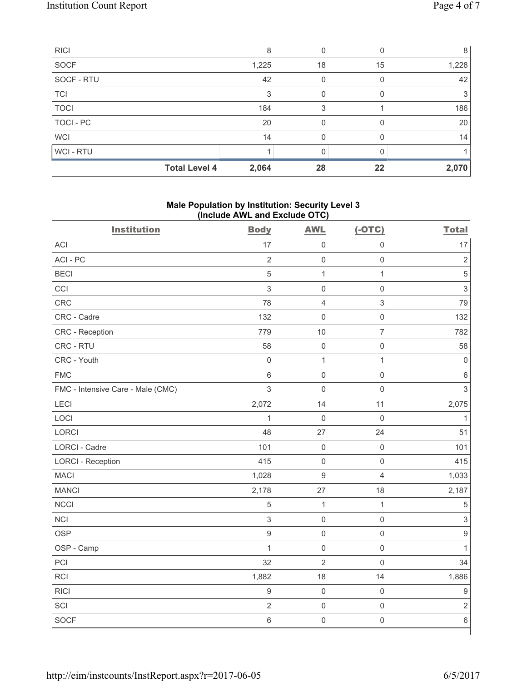| <b>RICI</b>      |                      | 8     |    |    | 8     |
|------------------|----------------------|-------|----|----|-------|
| SOCF             |                      | 1,225 | 18 | 15 | 1,228 |
| SOCF - RTU       |                      | 42    | 0  |    | 42    |
| <b>TCI</b>       |                      | 3     | 0  |    | 3     |
| <b>TOCI</b>      |                      | 184   | 3  |    | 186   |
| <b>TOCI - PC</b> |                      | 20    |    |    | 20    |
| <b>WCI</b>       |                      | 14    |    |    | 14    |
| WCI - RTU        |                      |       |    |    |       |
|                  | <b>Total Level 4</b> | 2,064 | 28 | 22 | 2,070 |

# **Male Population by Institution: Security Level 3 (Include AWL and Exclude OTC)**

| <b>Institution</b>                | <b>Body</b>         | <b>AWL</b>          | $(-OTC)$            | <b>Total</b>        |
|-----------------------------------|---------------------|---------------------|---------------------|---------------------|
| <b>ACI</b>                        | 17                  | $\mathsf{O}\xspace$ | $\boldsymbol{0}$    | 17                  |
| ACI - PC                          | $\overline{2}$      | $\mathbf 0$         | $\mathsf{O}\xspace$ | $\overline{2}$      |
| <b>BECI</b>                       | 5                   | $\mathbf{1}$        | $\mathbf{1}$        | $\sqrt{5}$          |
| CCI                               | 3                   | $\mathbf 0$         | $\mathsf{O}\xspace$ | 3                   |
| CRC                               | 78                  | $\overline{4}$      | $\mathfrak{S}$      | 79                  |
| CRC - Cadre                       | 132                 | $\mathbf 0$         | $\mathsf{O}\xspace$ | 132                 |
| CRC - Reception                   | 779                 | 10                  | $\overline{7}$      | 782                 |
| CRC - RTU                         | 58                  | $\mathbf 0$         | $\mathsf{O}\xspace$ | 58                  |
| CRC - Youth                       | $\mathsf{O}\xspace$ | $\mathbf 1$         | $\mathbf{1}$        | $\mathsf{O}\xspace$ |
| <b>FMC</b>                        | $\,6\,$             | $\mathbf 0$         | $\mathsf{O}\xspace$ | $\,6$               |
| FMC - Intensive Care - Male (CMC) | $\mathfrak{S}$      | $\mathbf 0$         | $\mathsf{O}\xspace$ | 3                   |
| LECI                              | 2,072               | 14                  | 11                  | 2,075               |
| LOCI                              | $\mathbf{1}$        | $\mathbf 0$         | $\mathbf 0$         | $\mathbf{1}$        |
| LORCI                             | 48                  | 27                  | 24                  | 51                  |
| LORCI - Cadre                     | 101                 | $\mathsf{O}\xspace$ | $\mathsf{O}\xspace$ | 101                 |
| <b>LORCI - Reception</b>          | 415                 | $\mathsf{O}\xspace$ | $\mathsf 0$         | 415                 |
| <b>MACI</b>                       | 1,028               | $\overline{9}$      | $\overline{4}$      | 1,033               |
| <b>MANCI</b>                      | 2,178               | 27                  | 18                  | 2,187               |
| <b>NCCI</b>                       | $\sqrt{5}$          | $\mathbf{1}$        | $\mathbf{1}$        | 5                   |
| <b>NCI</b>                        | $\mathsf 3$         | $\mathbf 0$         | $\mathsf{O}\xspace$ | $\sqrt{3}$          |
| <b>OSP</b>                        | $\mathsf g$         | $\mathbf 0$         | $\mathsf{O}\xspace$ | $\hbox{9}$          |
| OSP - Camp                        | $\mathbf{1}$        | $\mathbf 0$         | $\mathsf{O}\xspace$ | $\mathbf{1}$        |
| PCI                               | 32                  | $\overline{2}$      | $\mathbf 0$         | 34                  |
| <b>RCI</b>                        | 1,882               | 18                  | 14                  | 1,886               |
| <b>RICI</b>                       | $\mathsf g$         | $\mathbf 0$         | $\mathsf{O}\xspace$ | $\hbox{9}$          |
| SCI                               | $\overline{2}$      | $\mathbf 0$         | $\mathsf{O}\xspace$ | $\overline{2}$      |
| <b>SOCF</b>                       | $\,6$               | $\mathsf{O}\xspace$ | $\mathsf{O}\xspace$ | $\,6\,$             |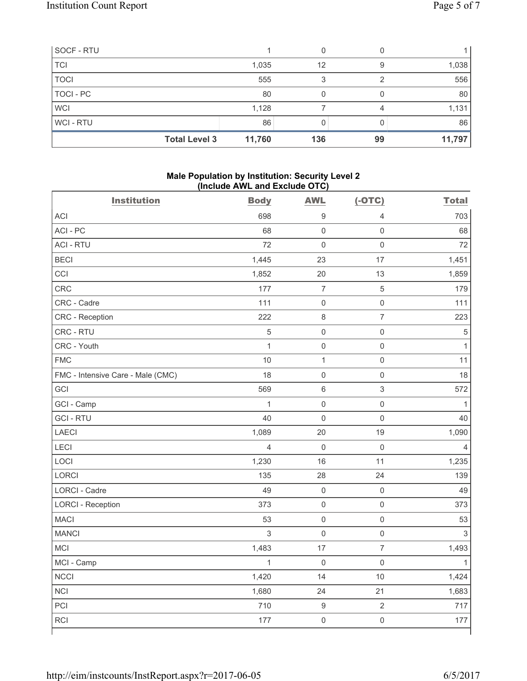| SOCF - RTU           |        |     |    |        |
|----------------------|--------|-----|----|--------|
| <b>TCI</b>           | 1,035  | 12  | 9  | 1,038  |
| <b>TOCI</b>          | 555    | 3   |    | 556    |
| TOCI - PC            | 80     |     |    | 80     |
| <b>WCI</b>           | 1,128  |     |    | 1,131  |
| <b>WCI-RTU</b>       | 86     |     |    | 86     |
| <b>Total Level 3</b> | 11,760 | 136 | 99 | 11,797 |

#### **Male Population by Institution: Security Level 2 (Include AWL and Exclude OTC)**

| <b>Institution</b>                | <b>Body</b>    | <b>AWL</b>               | $(-OTC)$            | <b>Total</b>   |
|-----------------------------------|----------------|--------------------------|---------------------|----------------|
| <b>ACI</b>                        | 698            | 9                        | 4                   | 703            |
| ACI - PC                          | 68             | $\mathsf{O}\xspace$      | $\mathbf 0$         | 68             |
| <b>ACI - RTU</b>                  | 72             | $\mathsf{O}\xspace$      | $\mathsf 0$         | 72             |
| <b>BECI</b>                       | 1,445          | 23                       | 17                  | 1,451          |
| CCI                               | 1,852          | 20                       | 13                  | 1,859          |
| CRC                               | 177            | $\overline{\mathcal{I}}$ | $\sqrt{5}$          | 179            |
| CRC - Cadre                       | 111            | $\mathbf 0$              | $\mathsf{O}\xspace$ | 111            |
| CRC - Reception                   | 222            | $\,8\,$                  | $\overline{7}$      | 223            |
| CRC - RTU                         | $\overline{5}$ | $\mathsf{O}\xspace$      | $\mathsf{O}\xspace$ | $\sqrt{5}$     |
| CRC - Youth                       | $\mathbf{1}$   | $\mathsf 0$              | $\mathsf{O}\xspace$ | $\mathbf{1}$   |
| <b>FMC</b>                        | 10             | $\mathbf{1}$             | $\mathsf{O}\xspace$ | 11             |
| FMC - Intensive Care - Male (CMC) | 18             | $\mathsf 0$              | $\mathsf{O}\xspace$ | 18             |
| GCI                               | 569            | $\,6$                    | 3                   | 572            |
| GCI - Camp                        | $\mathbf{1}$   | $\mathbf 0$              | $\mathsf{O}\xspace$ | $\mathbf{1}$   |
| <b>GCI-RTU</b>                    | 40             | $\mathsf{O}\xspace$      | $\mathsf{O}\xspace$ | 40             |
| LAECI                             | 1,089          | 20                       | 19                  | 1,090          |
| LECI                              | $\overline{4}$ | $\mathbf 0$              | $\mathsf 0$         | 4              |
| LOCI                              | 1,230          | 16                       | 11                  | 1,235          |
| LORCI                             | 135            | 28                       | 24                  | 139            |
| LORCI - Cadre                     | 49             | $\mathsf{O}\xspace$      | $\mathsf{O}\xspace$ | 49             |
| <b>LORCI - Reception</b>          | 373            | $\mathbf 0$              | $\mathsf{O}\xspace$ | 373            |
| <b>MACI</b>                       | 53             | $\mathsf{O}\xspace$      | $\mathsf{O}\xspace$ | 53             |
| <b>MANCI</b>                      | $\mathfrak{S}$ | $\mathbf 0$              | $\mathsf{O}\xspace$ | $\mathfrak{S}$ |
| MCI                               | 1,483          | 17                       | $\overline{7}$      | 1,493          |
| MCI - Camp                        | $\mathbf{1}$   | $\mathbf 0$              | $\mathsf{O}\xspace$ | $\mathbf{1}$   |
| <b>NCCI</b>                       | 1,420          | 14                       | 10                  | 1,424          |
| <b>NCI</b>                        | 1,680          | 24                       | 21                  | 1,683          |
| PCI                               | 710            | $\mathsf g$              | $\overline{2}$      | 717            |
| RCI                               | 177            | $\mathbf 0$              | $\mathsf{O}\xspace$ | 177            |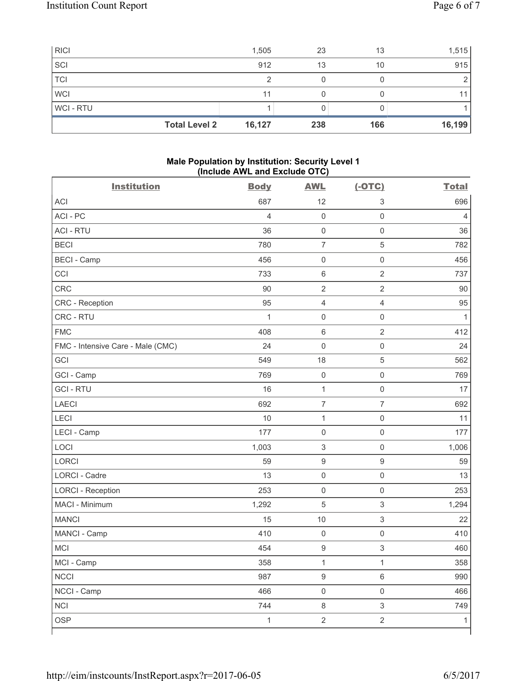| <b>RICI</b> | 1,505                          | 23  | 13  | 1,515           |
|-------------|--------------------------------|-----|-----|-----------------|
| SCI         | 912                            | 13  | 10  | 915             |
| <b>TCI</b>  | ◠                              |     |     |                 |
| <b>WCI</b>  | 11                             |     |     | 11 <sub>1</sub> |
| WCI-RTU     |                                |     |     |                 |
|             | 16,127<br><b>Total Level 2</b> | 238 | 166 | 16,199          |

# **Male Population by Institution: Security Level 1 (Include AWL and Exclude OTC)**

| <b>Institution</b>                | <b>Body</b>    | <b>AWL</b>                | $(-OTC)$                  | <b>Total</b>   |
|-----------------------------------|----------------|---------------------------|---------------------------|----------------|
| <b>ACI</b>                        | 687            | 12                        | 3                         | 696            |
| ACI-PC                            | $\overline{4}$ | $\mathsf 0$               | $\mathsf{O}\xspace$       | $\overline{4}$ |
| <b>ACI - RTU</b>                  | 36             | $\mathsf 0$               | $\mathsf 0$               | 36             |
| <b>BECI</b>                       | 780            | $\overline{7}$            | $\,$ 5 $\,$               | 782            |
| <b>BECI - Camp</b>                | 456            | $\mathsf{O}\xspace$       | $\mathbf 0$               | 456            |
| CCI                               | 733            | $\,6\,$                   | $\overline{2}$            | 737            |
| CRC                               | 90             | $\sqrt{2}$                | $\sqrt{2}$                | 90             |
| CRC - Reception                   | 95             | $\overline{4}$            | $\overline{4}$            | 95             |
| CRC - RTU                         | $\mathbf{1}$   | $\mathsf{O}\xspace$       | $\mathsf 0$               | 1              |
| <b>FMC</b>                        | 408            | $\,6\,$                   | $\sqrt{2}$                | 412            |
| FMC - Intensive Care - Male (CMC) | 24             | $\mathsf{O}\xspace$       | $\mathsf{O}\xspace$       | 24             |
| GCI                               | 549            | 18                        | $\sqrt{5}$                | 562            |
| GCI - Camp                        | 769            | $\mathsf 0$               | $\mathsf{O}\xspace$       | 769            |
| <b>GCI-RTU</b>                    | 16             | $\mathbf 1$               | $\mathsf 0$               | 17             |
| <b>LAECI</b>                      | 692            | $\overline{7}$            | $\overline{7}$            | 692            |
| <b>LECI</b>                       | 10             | $\mathbf{1}$              | $\mathsf 0$               | 11             |
| LECI - Camp                       | 177            | $\mathsf{O}\xspace$       | $\mathbf 0$               | 177            |
| LOCI                              | 1,003          | $\ensuremath{\mathsf{3}}$ | $\mathsf 0$               | 1,006          |
| <b>LORCI</b>                      | 59             | $\boldsymbol{9}$          | $\boldsymbol{9}$          | 59             |
| <b>LORCI - Cadre</b>              | 13             | $\mathsf{O}\xspace$       | $\mathsf{O}\xspace$       | 13             |
| <b>LORCI - Reception</b>          | 253            | $\mathsf{O}\xspace$       | $\mathsf 0$               | 253            |
| MACI - Minimum                    | 1,292          | $\overline{5}$            | $\mathsf 3$               | 1,294          |
| <b>MANCI</b>                      | 15             | 10                        | 3                         | 22             |
| MANCI - Camp                      | 410            | $\mathsf{O}\xspace$       | $\mathbf 0$               | 410            |
| MCI                               | 454            | $\boldsymbol{9}$          | $\ensuremath{\mathsf{3}}$ | 460            |
| MCI - Camp                        | 358            | $\mathbf{1}$              | $\mathbf 1$               | 358            |
| <b>NCCI</b>                       | 987            | $\boldsymbol{9}$          | $\,6\,$                   | 990            |
| NCCI - Camp                       | 466            | $\mathsf{O}\xspace$       | $\mathsf 0$               | 466            |
| <b>NCI</b>                        | 744            | $\,8\,$                   | $\mathfrak{S}$            | 749            |
| <b>OSP</b>                        | $\mathbf{1}$   | $\overline{2}$            | $\overline{2}$            | $\mathbf{1}$   |